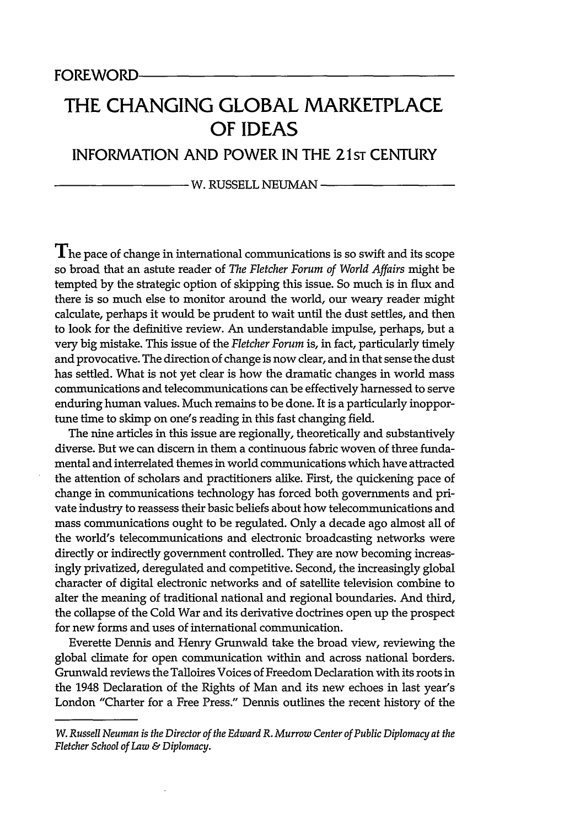## **THE CHANGING GLOBAL MARKETPLACE OF IDEAS**

## INFORMATION **AND** POWER **IN** THE 21ST **CENTURY**

W. RUSSELL NEUMAN

 $\mathbf{T}_{\text{he}}$  pace of change in international communications is so swift and its scope so broad that an astute reader of *The Fletcher Forum of World Affairs* might be tempted by the strategic option of skipping this issue. So much is in flux and there is so much else to monitor around the world, our weary reader might calculate, perhaps it would be prudent to wait until the dust settles, and then to look for the definitive review. An understandable impulse, perhaps, but a very big mistake. This issue of the *Fletcher Forum* is, in fact, particularly timely and provocative. The direction of change is now clear, and in that sense the dust has settled. What is not yet clear is how the dramatic changes in world mass communications and telecommunications can be effectively harnessed to serve enduring human values. Much remains to be done. It is a particularly inopportune time to skimp on one's reading in this fast changing field.

The nine articles in this issue are regionally, theoretically and substantively diverse. But we can discern in them a continuous fabric woven of three fundamental and interrelated themes in world communications which have attracted the attention of scholars and practitioners alike. First, the quickening pace of change in communications technology has forced both governments and private industry to reassess their basic beliefs about how telecommunications and mass communications ought to be regulated. Only a decade ago almost all of the world's telecommunications and electronic broadcasting networks were directly or indirectly government controlled. They are now becoming increasingly privatized, deregulated and competitive. Second, the increasingly global character of digital electronic networks and of satellite television combine to alter the meaning of traditional national and regional boundaries. And third, the collapse of the Cold War and its derivative doctrines open up the prospect for new forms and uses of international communication.

Everette Dennis and Henry Grunwald take the broad view, reviewing the global climate for open communication within and across national borders. Grunwald reviews the Talloires Voices of Freedom Declaration with its roots in the 1948 Declaration of the Rights of Man and its new echoes in last year's London "Charter for a Free Press." Dennis outlines the recent history of the

*W. Russell Neuman is the Director of the Edward R. Murrow Center of Public Diplomacy at the Fletcher School of Law & Diplomacy.*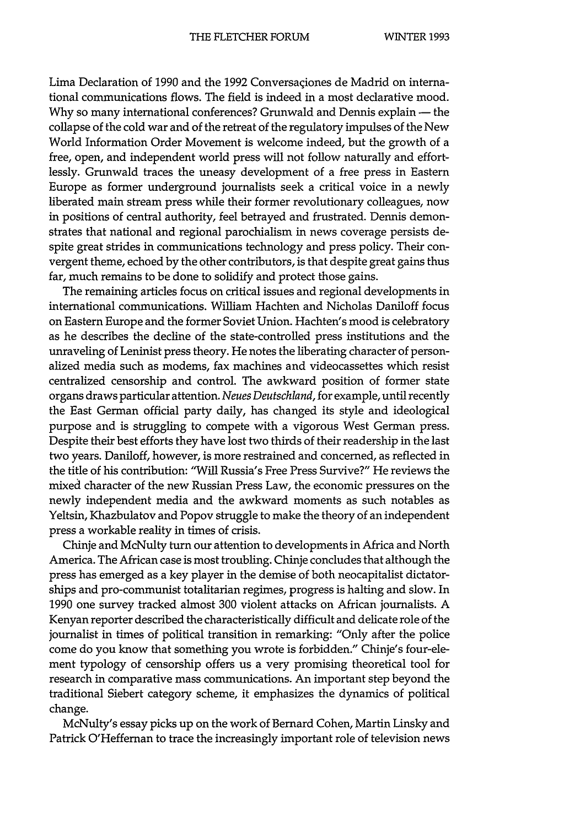Lima Declaration of **1990** and the **1992** Conversaqiones de Madrid on international communications flows. The field is indeed in a most declarative mood. Why so many international conferences? Grunwald and Dennis explain — the collapse of the cold war and of the retreat of the regulatory impulses of the New World Information Order Movement is welcome indeed, but the growth of a free, open, and independent world press will not follow naturally and effortlessly. Grunwald traces the uneasy development of a free press in Eastern Europe as former underground journalists seek a critical voice in a newly liberated main stream press while their former revolutionary colleagues, now in positions of central authority, feel betrayed and frustrated. Dennis demonstrates that national and regional parochialism in news coverage persists despite great strides in communications technology and press policy. Their convergent theme, echoed by the other contributors, is that despite great gains thus far, much remains to be done to solidify and protect those gains.

The remaining articles focus on critical issues and regional developments in international communications. William Hachten and Nicholas Daniloff focus on Eastern Europe and the former Soviet Union. Hachten's mood is celebratory as he describes the decline of the state-controlled press institutions and the unraveling of Leninist press theory. He notes the liberating character of personalized media such as modems, fax machines and videocassettes which resist centralized censorship and control. The awkward position of former state organs draws particular attention. *Neues Deutschland,* for example, until recently the East German official party daily, has changed its style and ideological purpose and is struggling to compete with a vigorous West German press. Despite their best efforts they have lost two thirds of their readership in the last two years. Daniloff, however, is more restrained and concerned, as reflected in the title of his contribution: "Will Russia's Free Press Survive?" He reviews the mixed character of the new Russian Press Law, the economic pressures on the newly independent media and the awkward moments as such notables as Yeltsin, Khazbulatov and Popov struggle to make the theory of an independent press a workable reality in times of crisis.

Chinje and McNulty turn our attention to developments in Africa and North America. The African case is most troubling. Chinje concludes that although the press has emerged as a key player in the demise of both neocapitalist dictatorships and pro-communist totalitarian regimes, progress is halting and slow. In 1990 one survey tracked almost 300 violent attacks on African journalists. A Kenyan reporter described the characteristically difficult and delicate role of the journalist in times of political transition in remarking: "Only after the police come do you know that something you wrote is forbidden." Chinje's four-element typology of censorship offers us a very promising theoretical tool for research in comparative mass communications. An important step beyond the traditional Siebert category scheme, it emphasizes the dynamics of political change.

McNulty's essay picks up on the work of Bernard Cohen, Martin Linsky and Patrick O'Heffernan to trace the increasingly important role of television news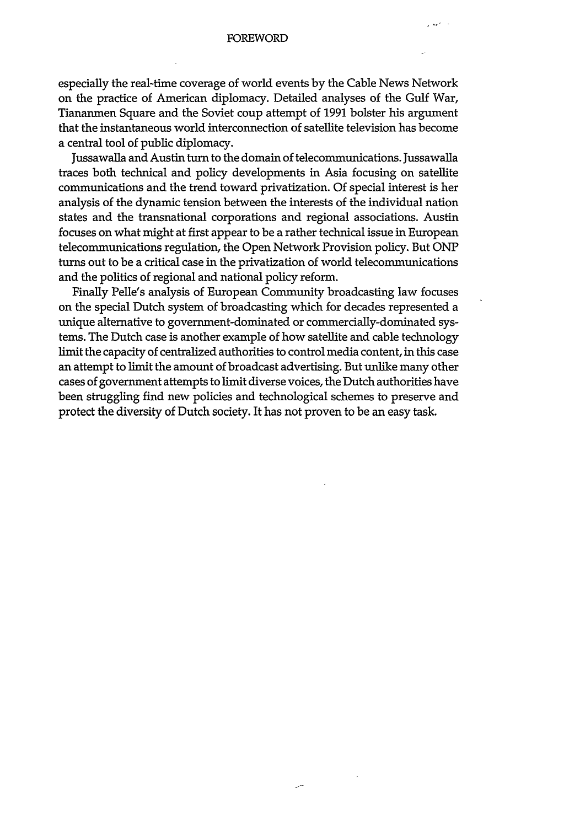## **FOREWORD**

especially the real-time coverage of world events **by** the Cable News Network on the practice of American diplomacy. Detailed analyses of the Gulf War, Tiananmen Square and the Soviet coup attempt of 1991 bolster his argument that the instantaneous world interconnection of satellite television has become a central tool of public diplomacy.

Jussawalla and Austin turn to the domain of telecommunications. Jussawalla traces both technical and policy developments in Asia focusing on satellite communications and the trend toward privatization. Of special interest is her analysis of the dynamic tension between the interests of the individual nation states and the transnational corporations and regional associations. Austin focuses on what might at first appear to be a rather technical issue in European telecommunications regulation, the Open Network Provision policy. But ONP turns out to be a critical case in the privatization of world telecommunications and the politics of regional and national policy reform.

Finally Pelle's analysis of European Community broadcasting law focuses on the special Dutch system of broadcasting which for decades represented a unique alternative to government-dominated or commercially-dominated systems. The Dutch case is another example of how satellite and cable technology limit the capacity of centralized authorities to control media content, in this case an attempt to limit the amount of broadcast advertising. But unlike many other cases of government attempts to limit diverse voices, the Dutch authorities have been struggling find new policies and technological schemes to preserve and protect the diversity of Dutch society. It has not proven to be an easy task.